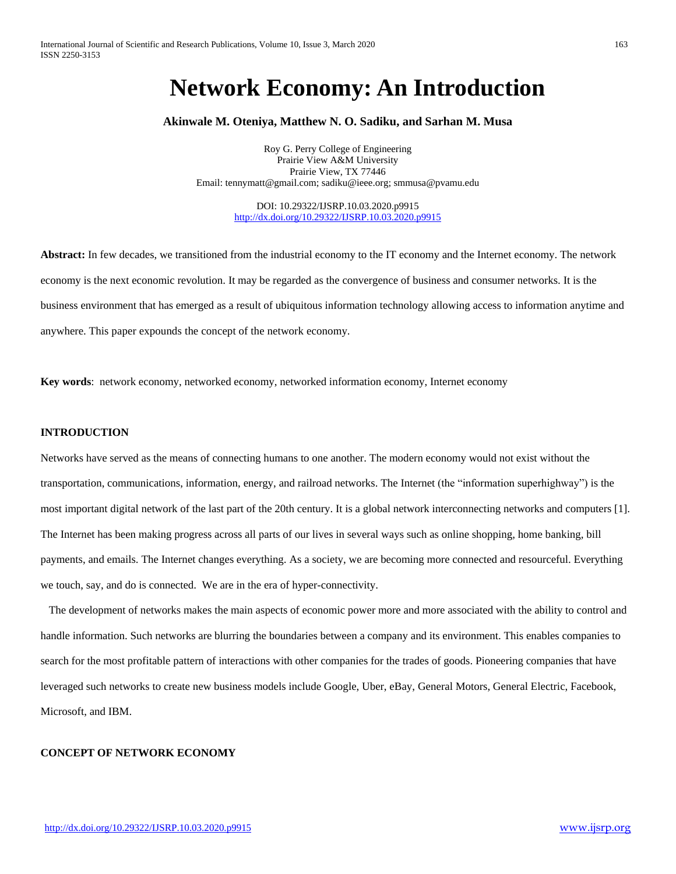# **Network Economy: An Introduction**

## **Akinwale M. Oteniya, Matthew N. O. Sadiku, and Sarhan M. Musa**

Roy G. Perry College of Engineering Prairie View A&M University Prairie View, TX 77446 Email: [tennymatt@gmail.com;](mailto:tennymatt@gmail.com) [sadiku@ieee.org;](mailto:sadiku@ieee.org) smmusa@pvamu.edu

> DOI: 10.29322/IJSRP.10.03.2020.p9915 <http://dx.doi.org/10.29322/IJSRP.10.03.2020.p9915>

**Abstract:** In few decades, we transitioned from the industrial economy to the IT economy and the Internet economy. The network economy is the next economic revolution. It may be regarded as the convergence of business and consumer networks. It is the business environment that has emerged as a result of ubiquitous information technology allowing access to information anytime and anywhere. This paper expounds the concept of the network economy.

**Key words**: network economy, networked economy, networked information economy, Internet economy

## **INTRODUCTION**

Networks have served as the means of connecting humans to one another. The modern economy would not exist without the transportation, communications, information, energy, and railroad networks. The Internet (the "information superhighway") is the most important digital network of the last part of the 20th century. It is a global network interconnecting networks and computers [1]. The Internet has been making progress across all parts of our lives in several ways such as online shopping, home banking, bill payments, and emails. The Internet changes everything. As a society, we are becoming more connected and resourceful. Everything we touch, say, and do is connected. We are in the era of hyper-connectivity.

 The development of networks makes the main aspects of economic power more and more associated with the ability to control and handle information. Such networks are blurring the boundaries between a company and its environment. This enables companies to search for the most profitable pattern of interactions with other companies for the trades of goods. Pioneering companies that have leveraged such networks to create new business models include Google, Uber, eBay, General Motors, General Electric, Facebook, Microsoft, and IBM.

## **CONCEPT OF NETWORK ECONOMY**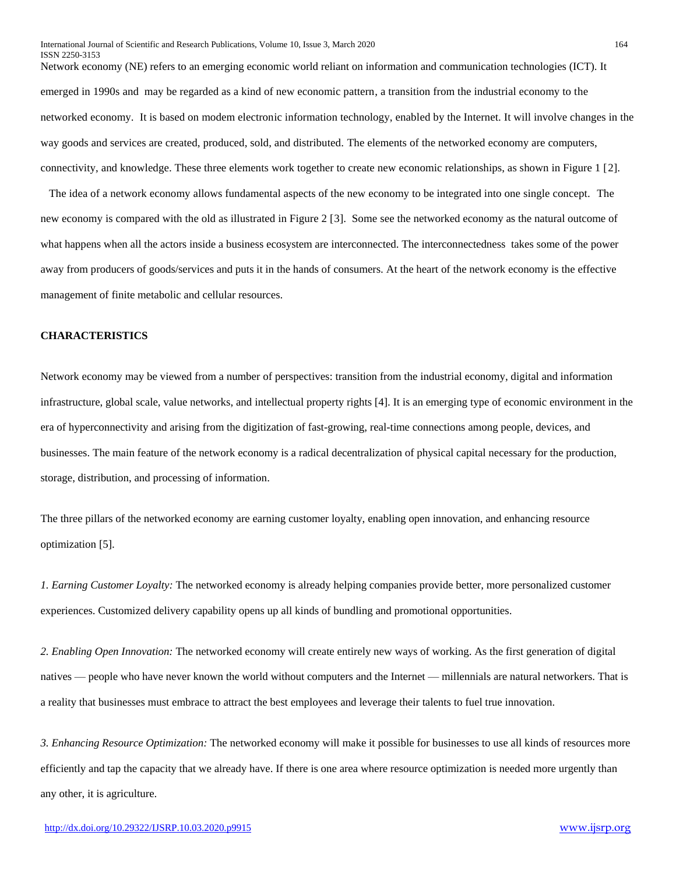Network economy (NE) refers to an emerging economic world reliant on information and communication technologies (ICT). It emerged in 1990s and may be regarded as a kind of new economic pattern, a transition from the industrial economy to the networked economy. It is based on modem electronic information technology, enabled by the Internet. It will involve changes in the way goods and services are created, produced, sold, and distributed. The elements of the networked economy are computers, connectivity, and knowledge. These three elements work together to create new economic relationships, as shown in Figure 1 [2].

 The idea of a network economy allows fundamental aspects of the new economy to be integrated into one single concept. The new economy is compared with the old as illustrated in Figure 2 [3]. Some see the networked economy as the natural outcome of what happens when all the actors inside a business ecosystem are interconnected. The interconnectedness takes some of the power away from producers of goods/services and puts it in the hands of consumers. At the heart of the network economy is the effective management of finite metabolic and cellular resources.

## **CHARACTERISTICS**

Network economy may be viewed from a number of perspectives: transition from the [industrial economy,](https://en.wikipedia.org/wiki/Industrial_economy) digital and information infrastructure, global scale, value networks, and [intellectual property](https://en.wikipedia.org/wiki/Intellectual_property) rights [4]. It is an emerging type of economic environment in the era of hyperconnectivity and arising from the digitization of fast-growing, real-time connections among people, devices, and businesses. The main feature of the network economy is a radical decentralization of physical capital necessary for the production, storage, distribution, and processing of information.

The three pillars of the networked economy are earning customer loyalty, enabling open innovation, and enhancing resource optimization [5].

*1. Earning Customer Loyalty:* The networked economy is already helping companies provide better, more personalized customer experiences. Customized delivery capability opens up all kinds of bundling and promotional opportunities.

*2. Enabling Open Innovation:* The networked economy will create entirely new ways of working. As the first generation of digital natives — people who have never known the world without computers and the Internet — millennials are natural networkers. That is a reality that businesses must embrace to attract the best employees and leverage their talents to fuel true innovation.

*3. Enhancing Resource Optimization:* The networked economy will make it possible for businesses to use all kinds of resources more efficiently and tap the capacity that we already have. If there is one area where resource optimization is needed more urgently than any other, it is agriculture.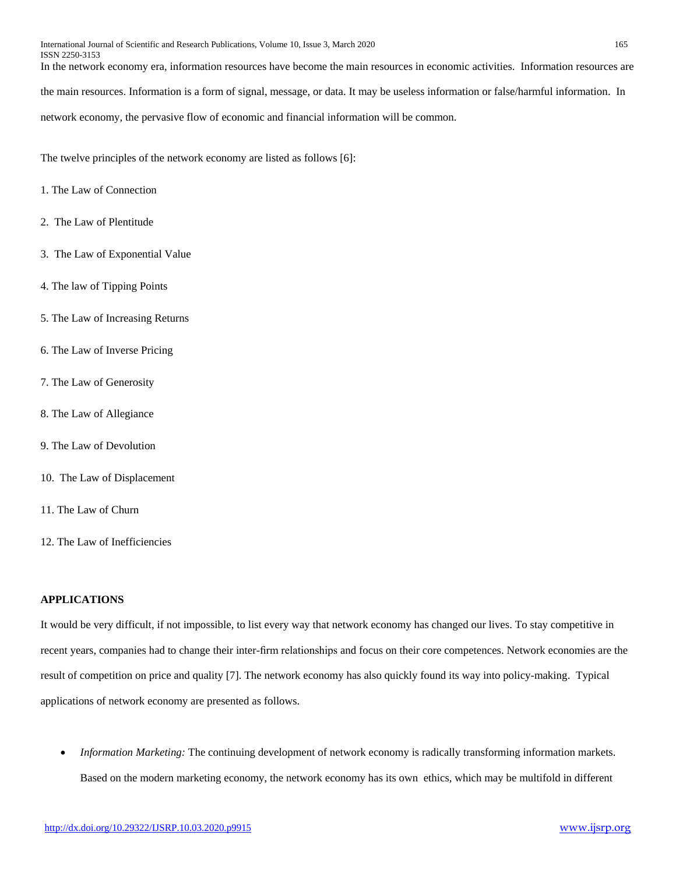In the network economy era, information resources have become the main resources in economic activities. Information resources are

the main resources. Information is a form of signal, message, or data. It may be useless information or false/harmful information. In

network economy, the pervasive flow of economic and financial information will be common.

The twelve principles of the network economy are listed as follows [6]:

- 1. The Law of Connection
- 2. The Law of Plentitude
- 3. The Law of Exponential Value
- 4. The law of Tipping Points
- 5. The Law of Increasing Returns
- 6. The Law of Inverse Pricing
- 7. The Law of Generosity
- 8. The Law of Allegiance
- 9. The Law of Devolution
- 10. The Law of Displacement
- 11. The Law of Churn
- 12. The Law of Inefficiencies

#### **APPLICATIONS**

It would be very difficult, if not impossible, to list every way that network economy has changed our lives. To stay competitive in recent years, companies had to change their inter-firm relationships and focus on their core competences. Network economies are the result of competition on price and quality [7]. The network economy has also quickly found its way into policy-making. Typical applications of network economy are presented as follows.

 *Information Marketing:* The continuing development of network economy is radically transforming information markets. Based on the modern marketing economy, the network economy has its own ethics, which may be multifold in different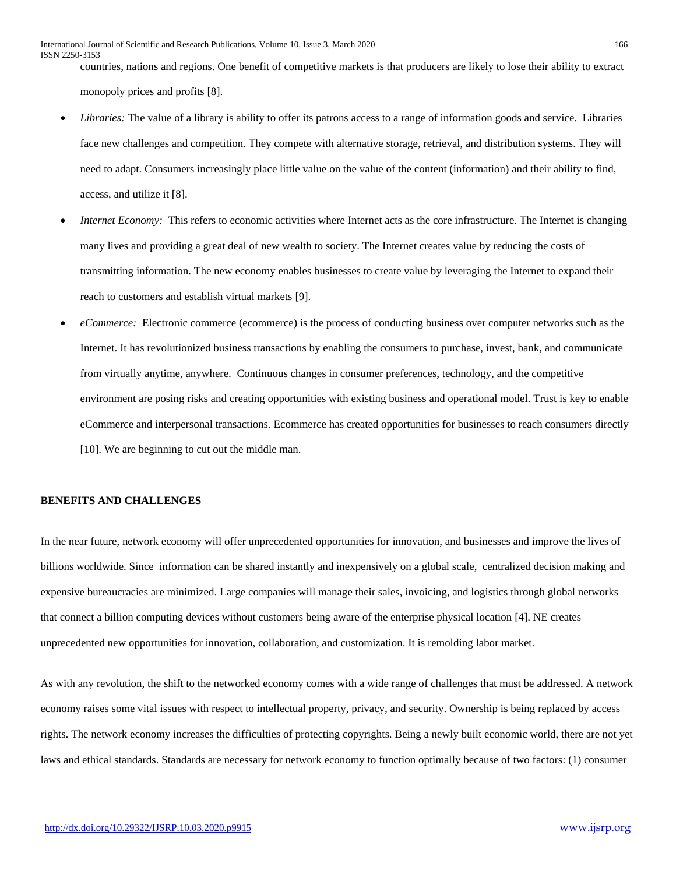countries, nations and regions. One benefit of competitive markets is that producers are likely to lose their ability to extract monopoly prices and profits [8].

- *Libraries:* The value of a library is ability to offer its patrons access to a range of information goods and service. Libraries face new challenges and competition. They compete with alternative storage, retrieval, and distribution systems. They will need to adapt. Consumers increasingly place little value on the value of the content (information) and their ability to find, access, and utilize it [8].
- *Internet Economy:* This refers to economic activities where Internet acts as the core infrastructure. The Internet is changing many lives and providing a great deal of new wealth to society. The Internet creates value by reducing the costs of transmitting information. The new economy enables businesses to create value by leveraging the Internet to expand their reach to customers and establish virtual markets [9].
- *eCommerce:* Electronic commerce (ecommerce) is the process of conducting business over computer networks such as the Internet. It has revolutionized business transactions by enabling the consumers to purchase, invest, bank, and communicate from virtually anytime, anywhere. Continuous changes in consumer preferences, technology, and the competitive environment are posing risks and creating opportunities with existing business and operational model. Trust is key to enable eCommerce and interpersonal transactions. Ecommerce has created opportunities for businesses to reach consumers directly [10]. We are beginning to cut out the middle man.

## **BENEFITS AND CHALLENGES**

In the near future, network economy will offer unprecedented opportunities for innovation, and businesses and improve the lives of billions worldwide. Since information can be shared instantly and inexpensively on a global scale, centralized decision making and expensive bureaucracies are minimized. Large companies will manage their sales, invoicing, and logistics through global networks that connect a billion computing devices without customers being aware of the enterprise physical location [4]. NE creates unprecedented new opportunities for innovation, collaboration, and customization. It is remolding labor market.

As with any revolution, the shift to the networked economy comes with a wide range of challenges that must be addressed. A network economy raises some vital issues with respect to intellectual property, privacy, and security. Ownership is being replaced by access rights. The network economy increases the difficulties of protecting copyrights. Being a newly built economic world, there are not yet laws and ethical standards. Standards are necessary for network economy to function optimally because of two factors: (1) consumer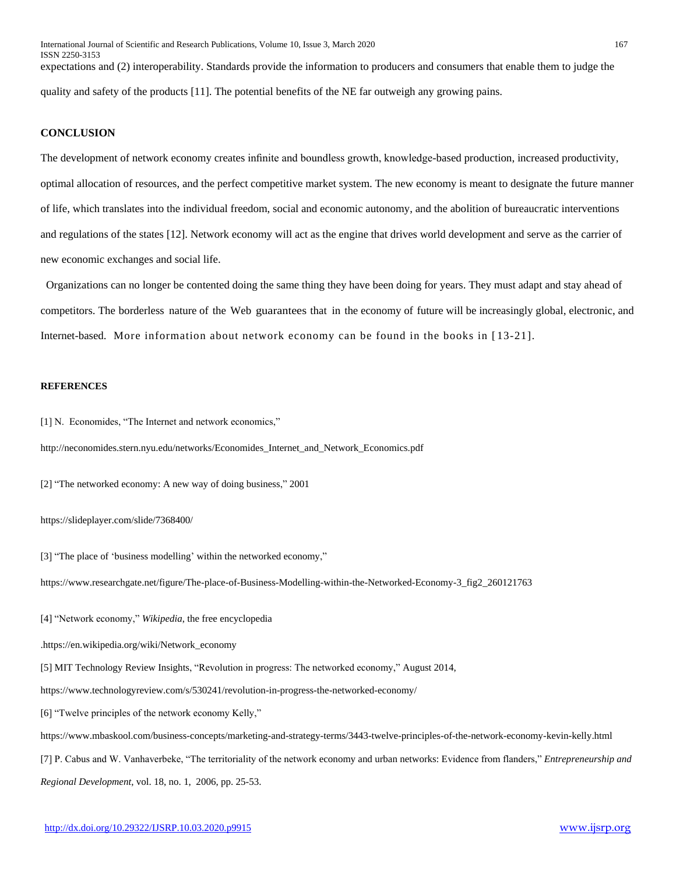expectations and (2) interoperability. Standards provide the information to producers and consumers that enable them to judge the quality and safety of the products [11]. The potential benefits of the NE far outweigh any growing pains.

## **CONCLUSION**

The development of network economy creates infinite and boundless growth, knowledge-based production, increased productivity, optimal allocation of resources, and the perfect competitive market system. The new economy is meant to designate the future manner of life, which translates into the individual freedom, social and economic autonomy, and the abolition of bureaucratic interventions and regulations of the states [12]. Network economy will act as the engine that drives world development and serve as the carrier of new economic exchanges and social life.

 Organizations can no longer be contented doing the same thing they have been doing for years. They must adapt and stay ahead of competitors. The borderless nature of the Web guarantees that in the economy of future will be increasingly global, electronic, and Internet-based. More information about network economy can be found in the books in [ 13-21].

#### **REFERENCES**

[1] N. Economides, "The Internet and network economics,"

http://neconomides.stern.nyu.edu/networks/Economides\_Internet\_and\_Network\_Economics.pdf

[2] "The networked economy: A new way of doing business," 2001

https://slideplayer.com/slide/7368400/

[3] "The place of 'business modelling' within the networked economy,"

https://www.researchgate.net/figure/The-place-of-Business-Modelling-within-the-Networked-Economy-3\_fig2\_260121763

[4] "Network economy," *Wikipedia*, the free encyclopedia

.https://en.wikipedia.org/wiki/Network\_economy

[5] [MIT Technology Review Insights,](https://www.technologyreview.com/profile/mit-technology-review-insights/) "Revolution in progress: The networked economy," August 2014,

https://www.technologyreview.com/s/530241/revolution-in-progress-the-networked-economy/

[6] "Twelve principles of the network economy Kelly,"

https://www.mbaskool.com/business-concepts/marketing-and-strategy-terms/3443-twelve-principles-of-the-network-economy-kevin-kelly.html

[7] P. Cabus and W. Vanhaverbeke, "The territoriality of the network economy and urban networks: Evidence from flanders," *Entrepreneurship and Regional Development*, vol. 18, no. 1, 2006, pp. 25-53.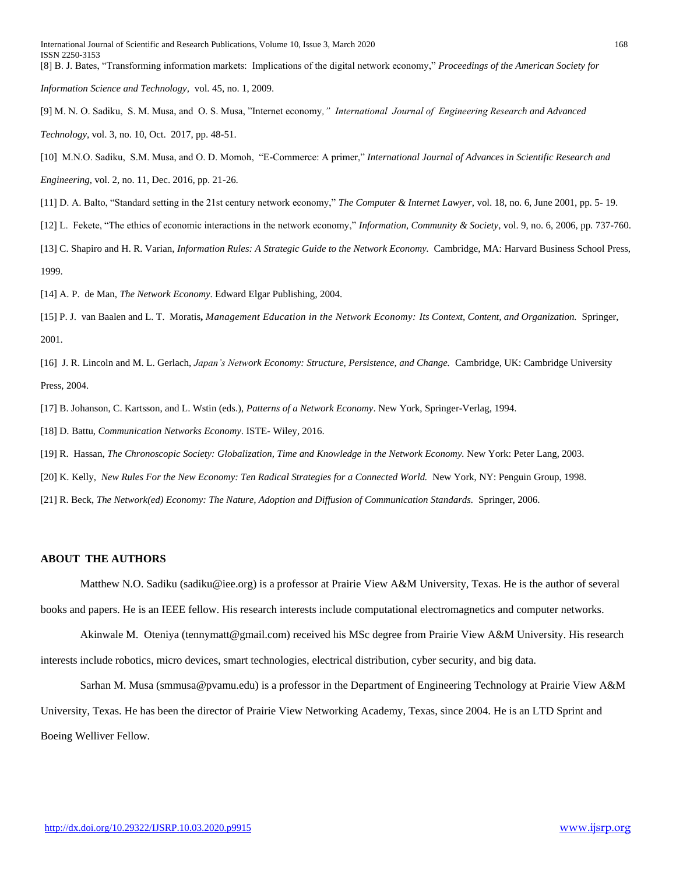*[Information Science and Technology,](https://onlinelibrary.wiley.com/journal/15508390)* vol. 45, no. 1, 2009.

- [9] M. N. O. Sadiku, S. M. Musa, and O. S. Musa, "Internet economy*," International Journal of Engineering Research and Advanced Technology*, vol. 3, no. 10, Oct. 2017, pp. 48-51.
- [10] M.N.O. Sadiku, S.M. Musa, and O. D. Momoh, "E-Commerce: A primer," *International Journal of Advances in Scientific Research and Engineering*, vol. 2, no. 11, Dec. 2016, pp. 21-26.
- [11] D. A. Balto, "Standard setting in the 21st century network economy," *The Computer & Internet Lawyer*, vol. 18, no. 6, June 2001, pp. 5- 19.
- [12] L. Fekete, "The ethics of economic interactions in the network economy," *Information, Community & Society*, vol. 9, no. 6, 2006, pp. 737-760.
- [13] C. Shapiro and H. R. Varian, *Information Rules: A Strategic Guide to the Network Economy.* Cambridge, MA: Harvard Business School Press, 1999.
- [14] A. P. de Man, *[The Network Economy](https://ideas.repec.org/b/elg/eebook/3189.html)*. Edward Elgar Publishing, 2004.
- [15] P. J. van Baalen and L. T. Moratis**,** *Management Education in the Network Economy: Its Context, Content, and Organization.* Springer, 2001.
- [16] J. R. Lincoln and M. L. Gerlach, *Japan's Network Economy: Structure, Persistence, and Change.* Cambridge, UK: Cambridge University Press, 2004.
- [17] B. Johanson, C. Kartsson, and L. Wstin (eds.), *Patterns of a Network Economy*. New York, Springer-Verlag, 1994.
- [18] D. Battu, *Communication Networks Economy*. ISTE- Wiley, 2016.
- [19] R. Hassan, *The Chronoscopic Society: Globalization, Time and Knowledge in the Network Economy.* New York: Peter Lang, 2003.
- [20] K. Kelly, *New Rules For the New Economy: Ten Radical Strategies for a Connected World.* New York, NY: Penguin Group, 1998.
- [21] [R. Beck,](https://www.orellfuessli.ch/shop/home/mehr-von-suche/ANY/sa/roman_beck.html;jsessionid=88F81EB1E088A00DCC9A2DB865B74514.shoptc13?mehrVon=Roman+Beck) *The Network(ed) Economy: The Nature, Adoption and Diffusion of Communication Standards.* Springer, 2006.

#### **ABOUT THE AUTHORS**

Matthew N.O. Sadiku [\(sadiku@iee.org\)](mailto:sadiku@iee.org) is a professor at Prairie View A&M University, Texas. He is the author of several books and papers. He is an IEEE fellow. His research interests include computational electromagnetics and computer networks.

Akinwale M. Oteniya [\(tennymatt@gmail.com\)](mailto:tennymatt@gmail.com) received his MSc degree from Prairie View A&M University. His research interests include robotics, micro devices, smart technologies, electrical distribution, cyber security, and big data.

Sarhan M. Musa [\(smmusa@pvamu.edu\)](mailto:smmusa@pvamu.edu) is a professor in the Department of Engineering Technology at Prairie View A&M University, Texas. He has been the director of Prairie View Networking Academy, Texas, since 2004. He is an LTD Sprint and Boeing Welliver Fellow.